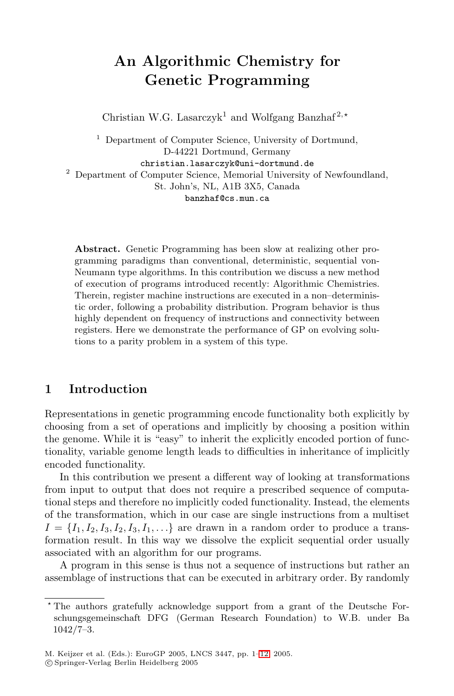# <span id="page-0-0"></span>**An Algorithmic Chemistry for Genetic Programming**

Christian W.G. Lasarczyk<sup>1</sup> and Wolfgang Banzhaf<sup>2,\*</sup>

<sup>1</sup> Department of Computer Science, University of Dortmund, D-44221 Dortmund, Germany christian.lasarczyk@uni-dortmund.de <sup>2</sup> Department of Computer Science, Memorial University of Newfoundland,

St. John's, NL, A1B 3X5, Canada banzhaf@cs.mun.ca

**Abstract.** Genetic Programming has been slow at realizing other programming paradigms than conventional, deterministic, sequential von-Neumann type algorithms. In this contribution we discuss a new method of execution of programs introduced recently: Algorithmic Chemistries. Therein, register machine instructions are executed in a non–deterministic order, following a probability distribution. Program behavior is thus highly dependent on frequency of instructions and connectivity between registers. Here we demonstrate the performance of GP on evolving solutions to a parity problem in a system of this type.

# **1 Introduction**

Representations in genetic programming encode functionality both explicitly by choosing from a set of operations and implicitly by choosing a position within the genome. While it is "easy" to inherit the explicitly encoded portion of functionality, variable genome length leads to difficulties in inheritance of implicitly encoded functionality.

In this contribution we present a different way of looking at transformations from input to output that does not require a prescribed sequence of computational steps and therefore no implicitly coded functionality. Instead, the elements of the transformation, which in our case are single instructions from a multiset  $I = \{I_1, I_2, I_3, I_2, I_3, I_1, \ldots\}$  are drawn in a random order to produce a transformation result. In this way we dissolve the explicit sequential order usually associated with an algorithm for our programs.

A program in this sense is thus not a sequence of instructions but rather an assemblage of instructions that can be executed in arbitrary order. By randomly

c Springer-Verlag Berlin Heidelberg 2005

The authors gratefully acknowledge support from a grant of the Deutsche Forschungsgemeinschaft DFG (German Research Foundation) to W.B. under Ba 1042/7–3.

M. Keijzer et al. (Eds.): EuroGP 2005, LNCS 3447, pp. 1[–12,](#page-11-0) 2005.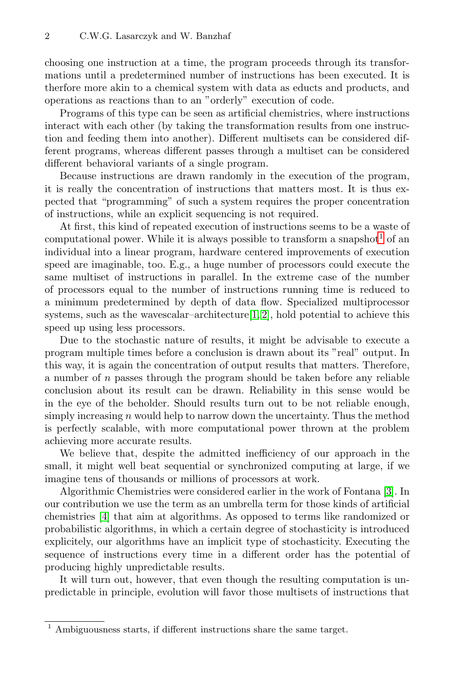choosing one instruction at a time, the program proceeds through its transformations until a predetermined number of instructions has been executed. It is therfore more akin to a chemical system with data as educts and products, and operations as reactions than to an "orderly" execution of code.

Programs of this type can be seen as artificial chemistries, where instructions interact with each other (by taking the transformation results from one instruction and feeding them into another). Different multisets can be considered different programs, whereas different passes through a multiset can be considered different behavioral variants of a single program.

Because instructions are drawn randomly in the execution of the program, it is really the concentration of instructions that matters most. It is thus expected that "programming" of such a system requires the proper concentration of instructions, while an explicit sequencing is not required.

At first, this kind of repeated execution of instructions seems to be a waste of computational power. While it is always possible to transform a snapshot<sup>1</sup> of an individual into a linear program, hardware centered improvements of execution speed are imaginable, too. E.g., a huge number of processors could execute the same multiset of instructions in parallel. In the extreme case of the number of processors equal to the number of instructions running time is reduced to a minimum predetermined by depth of data flow. Specialized multiprocessor systems, such as the wavescalar–architecture $[1, 2]$ , hold potential to achieve this speed up using less processors.

Due to the stochastic nature of results, it might be advisable to execute a program multiple times before a conclusion is drawn about its "real" output. In this way, it is again the concentration of output results that matters. Therefore, a number of n passes through the program should be taken before any reliable conclusion about its result can be drawn. Reliability in this sense would be in the eye of the beholder. Should results turn out to be not reliable enough, simply increasing  $n$  would help to narrow down the uncertainty. Thus the method is perfectly scalable, with more computational power thrown at the problem achieving more accurate results.

We believe that, despite the admitted inefficiency of our approach in the small, it might well beat sequential or synchronized computing at large, if we imagine tens of thousands or millions of processors at work.

Algorithmic Chemistries were considered earlier in the work of Fontana [\[3\]](#page-10-0). In our contribution we use the term as an umbrella term for those kinds of artificial chemistries [\[4\]](#page-10-0) that aim at algorithms. As opposed to terms like randomized or probabilistic algorithms, in which a certain degree of stochasticity is introduced explicitely, our algorithms have an implicit type of stochasticity. Executing the sequence of instructions every time in a different order has the potential of producing highly unpredictable results.

It will turn out, however, that even though the resulting computation is unpredictable in principle, evolution will favor those multisets of instructions that

 $^{\rm 1}$  Ambiguousness starts, if different instructions share the same target.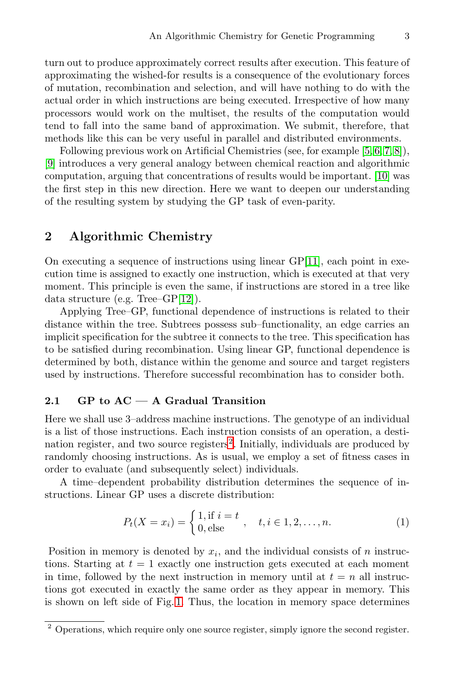<span id="page-2-0"></span>turn out to produce approximately correct results after execution. This feature of approximating the wished-for results is a consequence of the evolutionary forces of mutation, recombination and selection, and will have nothing to do with the actual order in which instructions are being executed. Irrespective of how many processors would work on the multiset, the results of the computation would tend to fall into the same band of approximation. We submit, therefore, that methods like this can be very useful in parallel and distributed environments.

Following previous work on Artificial Chemistries (see, for example [\[5,](#page-10-0) [6, 7, 8\]](#page-11-0)), [\[9\]](#page-11-0) introduces a very general analogy between chemical reaction and algorithmic computation, arguing that concentrations of results would be important. [\[10\]](#page-11-0) was the first step in this new direction. Here we want to deepen our understanding of the resulting system by studying the GP task of even-parity.

## **2 Algorithmic Chemistry**

On executing a sequence of instructions using linear  $\text{GP}[11]$  $\text{GP}[11]$ , each point in execution time is assigned to exactly one instruction, which is executed at that very moment. This principle is even the same, if instructions are stored in a tree like data structure (e.g. Tree–GP[\[12\]](#page-11-0)).

Applying Tree–GP, functional dependence of instructions is related to their distance within the tree. Subtrees possess sub–functionality, an edge carries an implicit specification for the subtree it connects to the tree. This specification has to be satisfied during recombination. Using linear GP, functional dependence is determined by both, distance within the genome and source and target registers used by instructions. Therefore successful recombination has to consider both.

#### **2.1 GP to AC — A Gradual Transition**

Here we shall use 3–address machine instructions. The genotype of an individual is a list of those instructions. Each instruction consists of an operation, a destination register, and two source registers<sup>2</sup>. Initially, individuals are produced by randomly choosing instructions. As is usual, we employ a set of fitness cases in order to evaluate (and subsequently select) individuals.

A time–dependent probability distribution determines the sequence of instructions. Linear GP uses a discrete distribution:

$$
P_t(X = x_i) = \begin{cases} 1, \text{if } i = t \\ 0, \text{else} \end{cases}, \quad t, i \in 1, 2, \dots, n. \tag{1}
$$

Position in memory is denoted by  $x_i$ , and the individual consists of n instructions. Starting at  $t = 1$  exactly one instruction gets executed at each moment in time, followed by the next instruction in memory until at  $t = n$  all instructions got executed in exactly the same order as they appear in memory. This is shown on left side of Fig. [1.](#page-3-0) Thus, the location in memory space determines

 $2$  Operations, which require only one source register, simply ignore the second register.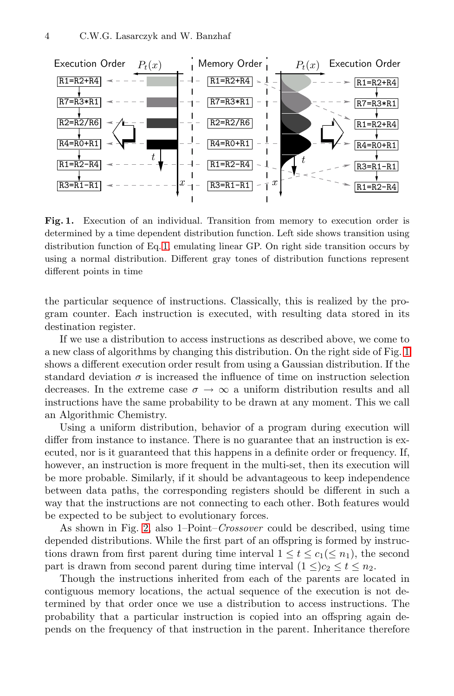<span id="page-3-0"></span>

**Fig. 1.** Execution of an individual. Transition from memory to execution order is determined by a time dependent distribution function. Left side shows transition using distribution function of Eq. [1,](#page-2-0) emulating linear GP. On right side transition occurs by using a normal distribution. Different gray tones of distribution functions represent different points in time

the particular sequence of instructions. Classically, this is realized by the program counter. Each instruction is executed, with resulting data stored in its destination register.

If we use a distribution to access instructions as described above, we come to a new class of algorithms by changing this distribution. On the right side of Fig. 1 shows a different execution order result from using a Gaussian distribution. If the standard deviation  $\sigma$  is increased the influence of time on instruction selection decreases. In the extreme case  $\sigma \to \infty$  a uniform distribution results and all instructions have the same probability to be drawn at any moment. This we call an Algorithmic Chemistry.

Using a uniform distribution, behavior of a program during execution will differ from instance to instance. There is no guarantee that an instruction is executed, nor is it guaranteed that this happens in a definite order or frequency. If, however, an instruction is more frequent in the multi-set, then its execution will be more probable. Similarly, if it should be advantageous to keep independence between data paths, the corresponding registers should be different in such a way that the instructions are not connecting to each other. Both features would be expected to be subject to evolutionary forces.

As shown in Fig. [2,](#page-4-0) also 1–Point–*Crossover* could be described, using time depended distributions. While the first part of an offspring is formed by instructions drawn from first parent during time interval  $1 \le t \le c_1 (\le n_1)$ , the second part is drawn from second parent during time interval  $(1 \leq) c_2 \leq t \leq n_2$ .

Though the instructions inherited from each of the parents are located in contiguous memory locations, the actual sequence of the execution is not determined by that order once we use a distribution to access instructions. The probability that a particular instruction is copied into an offspring again depends on the frequency of that instruction in the parent. Inheritance therefore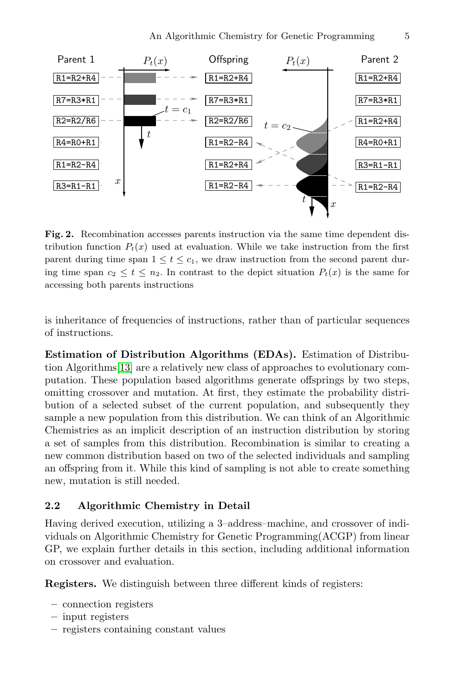<span id="page-4-0"></span>

**Fig. 2.** Recombination accesses parents instruction via the same time dependent distribution function  $P_t(x)$  used at evaluation. While we take instruction from the first parent during time span  $1 \le t \le c_1$ , we draw instruction from the second parent during time span  $c_2 \le t \le n_2$ . In contrast to the depict situation  $P_t(x)$  is the same for accessing both parents instructions

is inheritance of frequencies of instructions, rather than of particular sequences of instructions.

**Estimation of Distribution Algorithms (EDAs).** Estimation of Distribution Algorithms[\[13\]](#page-11-0) are a relatively new class of approaches to evolutionary computation. These population based algorithms generate offsprings by two steps, omitting crossover and mutation. At first, they estimate the probability distribution of a selected subset of the current population, and subsequently they sample a new population from this distribution. We can think of an Algorithmic Chemistries as an implicit description of an instruction distribution by storing a set of samples from this distribution. Recombination is similar to creating a new common distribution based on two of the selected individuals and sampling an offspring from it. While this kind of sampling is not able to create something new, mutation is still needed.

#### **2.2 Algorithmic Chemistry in Detail**

Having derived execution, utilizing a 3–address–machine, and crossover of individuals on Algorithmic Chemistry for Genetic Programming(ACGP) from linear GP, we explain further details in this section, including additional information on crossover and evaluation.

**Registers.** We distinguish between three different kinds of registers:

- **–** connection registers
- **–** input registers
- **–** registers containing constant values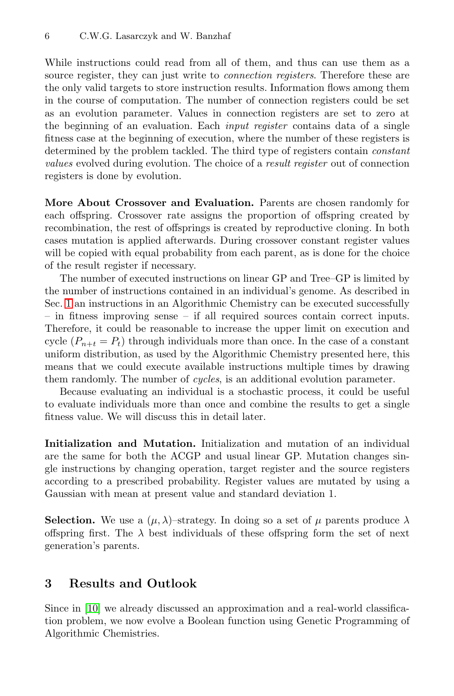While instructions could read from all of them, and thus can use them as a source register, they can just write to *connection registers*. Therefore these are the only valid targets to store instruction results. Information flows among them in the course of computation. The number of connection registers could be set as an evolution parameter. Values in connection registers are set to zero at the beginning of an evaluation. Each *input register* contains data of a single fitness case at the beginning of execution, where the number of these registers is determined by the problem tackled. The third type of registers contain *constant values* evolved during evolution. The choice of a *result register* out of connection registers is done by evolution.

**More About Crossover and Evaluation.** Parents are chosen randomly for each offspring. Crossover rate assigns the proportion of offspring created by recombination, the rest of offsprings is created by reproductive cloning. In both cases mutation is applied afterwards. During crossover constant register values will be copied with equal probability from each parent, as is done for the choice of the result register if necessary.

The number of executed instructions on linear GP and Tree–GP is limited by the number of instructions contained in an individual's genome. As described in Sec. [1](#page-0-0) an instructions in an Algorithmic Chemistry can be executed successfully – in fitness improving sense – if all required sources contain correct inputs. Therefore, it could be reasonable to increase the upper limit on execution and cycle  $(P_{n+t} = P_t)$  through individuals more than once. In the case of a constant uniform distribution, as used by the Algorithmic Chemistry presented here, this means that we could execute available instructions multiple times by drawing them randomly. The number of *cycles*, is an additional evolution parameter.

Because evaluating an individual is a stochastic process, it could be useful to evaluate individuals more than once and combine the results to get a single fitness value. We will discuss this in detail later.

**Initialization and Mutation.** Initialization and mutation of an individual are the same for both the ACGP and usual linear GP. Mutation changes single instructions by changing operation, target register and the source registers according to a prescribed probability. Register values are mutated by using a Gaussian with mean at present value and standard deviation 1.

**Selection.** We use a  $(\mu, \lambda)$ -strategy. In doing so a set of  $\mu$  parents produce  $\lambda$ offspring first. The  $\lambda$  best individuals of these offspring form the set of next generation's parents.

# **3 Results and Outlook**

Since in [\[10\]](#page-11-0) we already discussed an approximation and a real-world classification problem, we now evolve a Boolean function using Genetic Programming of Algorithmic Chemistries.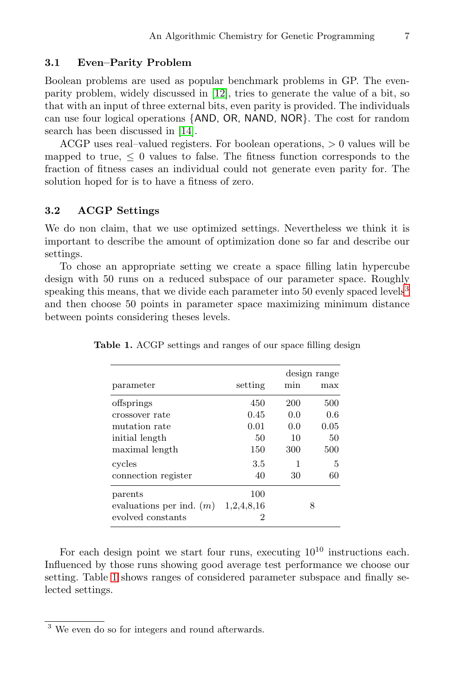#### <span id="page-6-0"></span>**3.1 Even–Parity Problem**

Boolean problems are used as popular benchmark problems in GP. The evenparity problem, widely discussed in [\[12\]](#page-11-0), tries to generate the value of a bit, so that with an input of three external bits, even parity is provided. The individuals can use four logical operations {AND, OR, NAND, NOR}. The cost for random search has been discussed in [\[14\]](#page-11-0).

ACGP uses real–valued registers. For boolean operations, > 0 values will be mapped to true,  $\leq 0$  values to false. The fitness function corresponds to the fraction of fitness cases an individual could not generate even parity for. The solution hoped for is to have a fitness of zero.

#### **3.2 ACGP Settings**

We do non claim, that we use optimized settings. Nevertheless we think it is important to describe the amount of optimization done so far and describe our settings.

To chose an appropriate setting we create a space filling latin hypercube design with 50 runs on a reduced subspace of our parameter space. Roughly speaking this means, that we divide each parameter into 50 evenly spaced levels<sup>3</sup> and then choose 50 points in parameter space maximizing minimum distance between points considering theses levels.

|                            |            | design range |      |  |
|----------------------------|------------|--------------|------|--|
| parameter                  | setting    | min          | max  |  |
| offsprings                 | 450        | 200          | 500  |  |
| crossover rate             | 0.45       | 0.0          | 0.6  |  |
| mutation rate              | 0.01       | 0.0          | 0.05 |  |
| initial length             | 50         | 10           | 50   |  |
| maximal length             | 150        | 300          | 500  |  |
| cycles                     | 3.5        | 1            | 5    |  |
| connection register        | 40         | 30           | 60   |  |
| parents                    | 100        |              |      |  |
| evaluations per ind. $(m)$ | 1,2,4,8,16 |              | 8    |  |
| evolved constants          | 2          |              |      |  |

**Table 1.** ACGP settings and ranges of our space filling design

For each design point we start four runs, executing  $10^{10}$  instructions each. Influenced by those runs showing good average test performance we choose our setting. Table 1 shows ranges of considered parameter subspace and finally selected settings.

<sup>3</sup> We even do so for integers and round afterwards.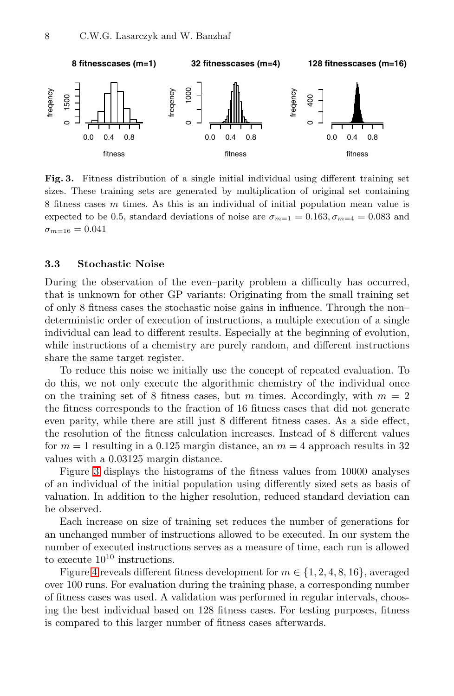<span id="page-7-0"></span>

**Fig. 3.** Fitness distribution of a single initial individual using different training set sizes. These training sets are generated by multiplication of original set containing 8 fitness cases m times. As this is an individual of initial population mean value is expected to be 0.5, standard deviations of noise are  $\sigma_{m=1} = 0.163, \sigma_{m=4} = 0.083$  and  $\sigma_{m=16} = 0.041$ 

### **3.3 Stochastic Noise**

During the observation of the even–parity problem a difficulty has occurred, that is unknown for other GP variants: Originating from the small training set of only 8 fitness cases the stochastic noise gains in influence. Through the non– deterministic order of execution of instructions, a multiple execution of a single individual can lead to different results. Especially at the beginning of evolution, while instructions of a chemistry are purely random, and different instructions share the same target register.

To reduce this noise we initially use the concept of repeated evaluation. To do this, we not only execute the algorithmic chemistry of the individual once on the training set of 8 fitness cases, but m times. Accordingly, with  $m = 2$ the fitness corresponds to the fraction of 16 fitness cases that did not generate even parity, while there are still just 8 different fitness cases. As a side effect, the resolution of the fitness calculation increases. Instead of 8 different values for  $m = 1$  resulting in a 0.125 margin distance, an  $m = 4$  approach results in 32 values with a 0.03125 margin distance.

Figure 3 displays the histograms of the fitness values from 10000 analyses of an individual of the initial population using differently sized sets as basis of valuation. In addition to the higher resolution, reduced standard deviation can be observed.

Each increase on size of training set reduces the number of generations for an unchanged number of instructions allowed to be executed. In our system the number of executed instructions serves as a measure of time, each run is allowed to execute  $10^{10}$  instructions.

Figure [4](#page-8-0) reveals different fitness development for  $m \in \{1, 2, 4, 8, 16\}$ , averaged over 100 runs. For evaluation during the training phase, a corresponding number of fitness cases was used. A validation was performed in regular intervals, choosing the best individual based on 128 fitness cases. For testing purposes, fitness is compared to this larger number of fitness cases afterwards.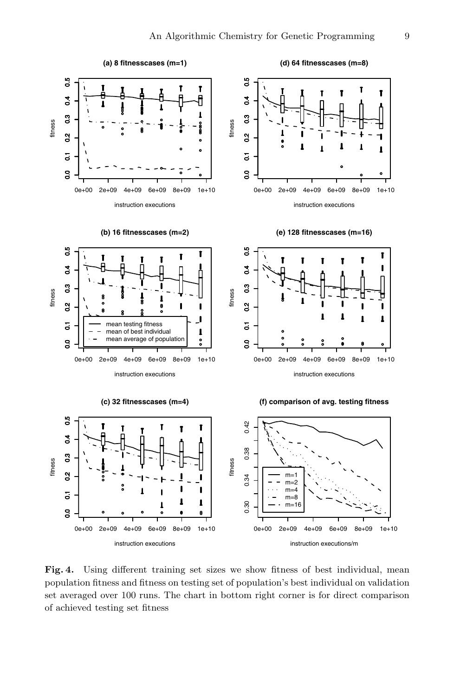<span id="page-8-0"></span>

**Fig. 4.** Using different training set sizes we show fitness of best individual, mean population fitness and fitness on testing set of population's best individual on validation set averaged over 100 runs. The chart in bottom right corner is for direct comparison of achieved testing set fitness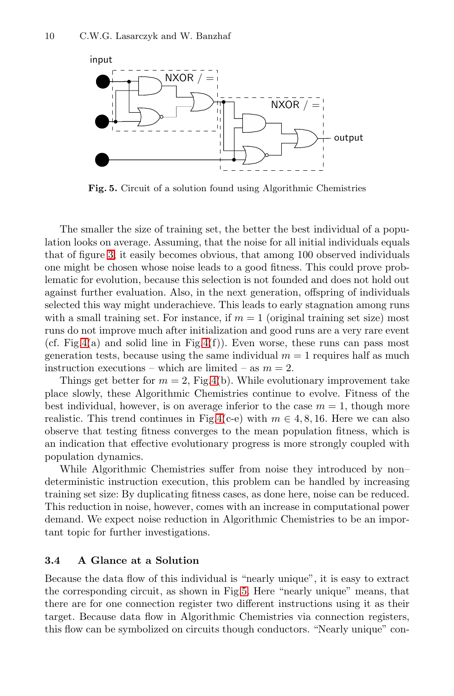

**Fig. 5.** Circuit of a solution found using Algorithmic Chemistries

The smaller the size of training set, the better the best individual of a population looks on average. Assuming, that the noise for all initial individuals equals that of figure [3,](#page-7-0) it easily becomes obvious, that among 100 observed individuals one might be chosen whose noise leads to a good fitness. This could prove problematic for evolution, because this selection is not founded and does not hold out against further evaluation. Also, in the next generation, offspring of individuals selected this way might underachieve. This leads to early stagnation among runs with a small training set. For instance, if  $m = 1$  (original training set size) most runs do not improve much after initialization and good runs are a very rare event (cf. Fig[.4\(](#page-8-0)a) and solid line in Fig.4(f)). Even worse, these runs can pass most generation tests, because using the same individual  $m = 1$  requires half as much instruction executions – which are limited – as  $m = 2$ .

Things get better for  $m = 2$ , Fig[.4\(](#page-8-0)b). While evolutionary improvement take place slowly, these Algorithmic Chemistries continue to evolve. Fitness of the best individual, however, is on average inferior to the case  $m = 1$ , though more realistic. This trend continues in Fig[.4\(](#page-8-0)c-e) with  $m \in 4, 8, 16$ . Here we can also observe that testing fitness converges to the mean population fitness, which is an indication that effective evolutionary progress is more strongly coupled with population dynamics.

While Algorithmic Chemistries suffer from noise they introduced by non– deterministic instruction execution, this problem can be handled by increasing training set size: By duplicating fitness cases, as done here, noise can be reduced. This reduction in noise, however, comes with an increase in computational power demand. We expect noise reduction in Algorithmic Chemistries to be an important topic for further investigations.

#### **3.4 A Glance at a Solution**

Because the data flow of this individual is "nearly unique", it is easy to extract the corresponding circuit, as shown in Fig.5. Here "nearly unique" means, that there are for one connection register two different instructions using it as their target. Because data flow in Algorithmic Chemistries via connection registers, this flow can be symbolized on circuits though conductors. "Nearly unique" con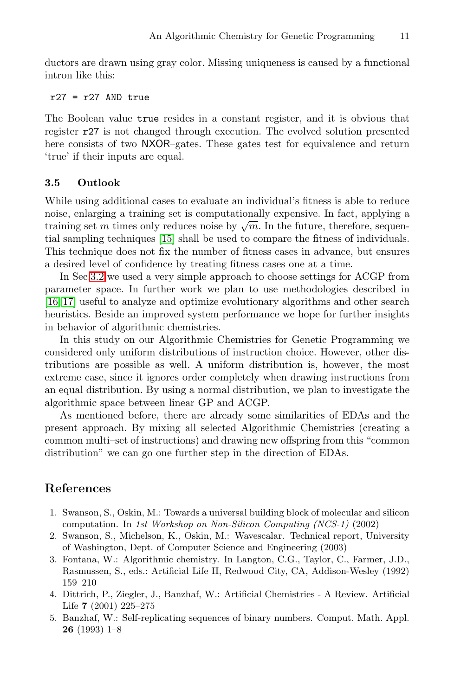<span id="page-10-0"></span>ductors are drawn using gray color. Missing uniqueness is caused by a functional intron like this:

#### $r27 = r27$  AND true

The Boolean value true resides in a constant register, and it is obvious that register r27 is not changed through execution. The evolved solution presented here consists of two NXOR–gates. These gates test for equivalence and return 'true' if their inputs are equal.

#### **3.5 Outlook**

While using additional cases to evaluate an individual's fitness is able to reduce noise, enlarging a training set is computationally expensive. In fact, applying a training set m times only reduces noise by  $\sqrt{m}$ . In the future, therefore, sequential sampling techniques [\[15\]](#page-11-0) shall be used to compare the fitness of individuals. This technique does not fix the number of fitness cases in advance, but ensures a desired level of confidence by treating fitness cases one at a time.

In Sec[.3.2](#page-6-0) we used a very simple approach to choose settings for ACGP from parameter space. In further work we plan to use methodologies described in [\[16, 17\]](#page-11-0) useful to analyze and optimize evolutionary algorithms and other search heuristics. Beside an improved system performance we hope for further insights in behavior of algorithmic chemistries.

In this study on our Algorithmic Chemistries for Genetic Programming we considered only uniform distributions of instruction choice. However, other distributions are possible as well. A uniform distribution is, however, the most extreme case, since it ignores order completely when drawing instructions from an equal distribution. By using a normal distribution, we plan to investigate the algorithmic space between linear GP and ACGP.

As mentioned before, there are already some similarities of EDAs and the present approach. By mixing all selected Algorithmic Chemistries (creating a common multi–set of instructions) and drawing new offspring from this "common distribution" we can go one further step in the direction of EDAs.

# **References**

- 1. Swanson, S., Oskin, M.: Towards a universal building block of molecular and silicon computation. In 1st Workshop on Non-Silicon Computing (NCS-1) (2002)
- 2. Swanson, S., Michelson, K., Oskin, M.: Wavescalar. Technical report, University of Washington, Dept. of Computer Science and Engineering (2003)
- 3. Fontana, W.: Algorithmic chemistry. In Langton, C.G., Taylor, C., Farmer, J.D., Rasmussen, S., eds.: Artificial Life II, Redwood City, CA, Addison-Wesley (1992) 159–210
- 4. Dittrich, P., Ziegler, J., Banzhaf, W.: Artificial Chemistries A Review. Artificial Life **7** (2001) 225–275
- 5. Banzhaf, W.: Self-replicating sequences of binary numbers. Comput. Math. Appl. **26** (1993) 1–8